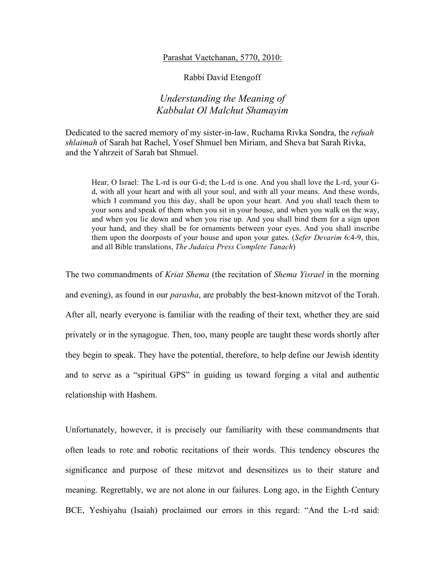## Parashat Vaetchanan, 5770, 2010:

Rabbi David Etengoff

## *Understanding the Meaning of Kabbalat Ol Malchut Shamayim*

Dedicated to the sacred memory of my sister-in-law, Ruchama Rivka Sondra, the *refuah shlaimah* of Sarah bat Rachel, Yosef Shmuel ben Miriam, and Sheva bat Sarah Rivka, and the Yahrzeit of Sarah bat Shmuel.

Hear, O Israel: The L-rd is our G-d; the L-rd is one. And you shall love the L-rd, your Gd, with all your heart and with all your soul, and with all your means. And these words, which I command you this day, shall be upon your heart. And you shall teach them to your sons and speak of them when you sit in your house, and when you walk on the way, and when you lie down and when you rise up. And you shall bind them for a sign upon your hand, and they shall be for ornaments between your eyes. And you shall inscribe them upon the doorposts of your house and upon your gates. (*Sefer Devarim* 6:4-9, this, and all Bible translations, *The Judaica Press Complete Tanach*)

The two commandments of *Kriat Shema* (the recitation of *Shema Yisrael* in the morning and evening), as found in our *parasha*, are probably the best-known mitzvot of the Torah. After all, nearly everyone is familiar with the reading of their text, whether they are said privately or in the synagogue. Then, too, many people are taught these words shortly after they begin to speak. They have the potential, therefore, to help define our Jewish identity and to serve as a "spiritual GPS" in guiding us toward forging a vital and authentic relationship with Hashem.

Unfortunately, however, it is precisely our familiarity with these commandments that often leads to rote and robotic recitations of their words. This tendency obscures the significance and purpose of these mitzvot and desensitizes us to their stature and meaning. Regrettably, we are not alone in our failures. Long ago, in the Eighth Century BCE, Yeshiyahu (Isaiah) proclaimed our errors in this regard: "And the L-rd said: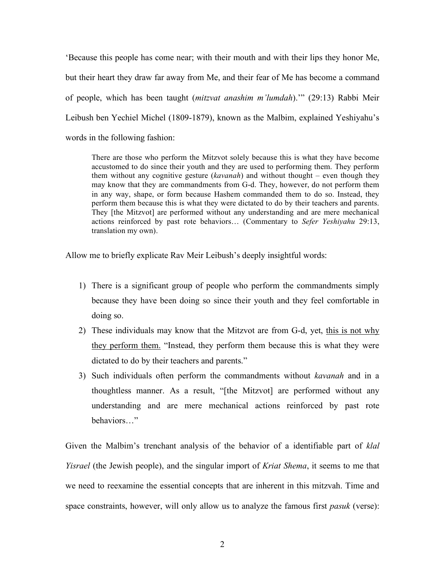'Because this people has come near; with their mouth and with their lips they honor Me, but their heart they draw far away from Me, and their fear of Me has become a command of people, which has been taught (*mitzvat anashim m'lumdah*).'" (29:13) Rabbi Meir Leibush ben Yechiel Michel (1809-1879), known as the Malbim, explained Yeshiyahu's words in the following fashion:

There are those who perform the Mitzvot solely because this is what they have become accustomed to do since their youth and they are used to performing them. They perform them without any cognitive gesture (*kavanah*) and without thought – even though they may know that they are commandments from G-d. They, however, do not perform them in any way, shape, or form because Hashem commanded them to do so. Instead, they perform them because this is what they were dictated to do by their teachers and parents. They [the Mitzvot] are performed without any understanding and are mere mechanical actions reinforced by past rote behaviors… (Commentary to *Sefer Yeshiyahu* 29:13, translation my own).

Allow me to briefly explicate Rav Meir Leibush's deeply insightful words:

- 1) There is a significant group of people who perform the commandments simply because they have been doing so since their youth and they feel comfortable in doing so.
- 2) These individuals may know that the Mitzvot are from G-d, yet, this is not why they perform them. "Instead, they perform them because this is what they were dictated to do by their teachers and parents."
- 3) Such individuals often perform the commandments without *kavanah* and in a thoughtless manner. As a result, "[the Mitzvot] are performed without any understanding and are mere mechanical actions reinforced by past rote behaviors…"

Given the Malbim's trenchant analysis of the behavior of a identifiable part of *klal Yisrael* (the Jewish people), and the singular import of *Kriat Shema*, it seems to me that we need to reexamine the essential concepts that are inherent in this mitzvah. Time and space constraints, however, will only allow us to analyze the famous first *pasuk* (verse):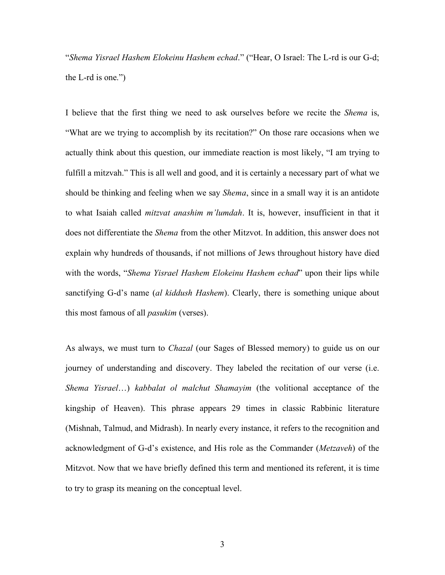"*Shema Yisrael Hashem Elokeinu Hashem echad*." ("Hear, O Israel: The L-rd is our G-d; the L-rd is one.")

I believe that the first thing we need to ask ourselves before we recite the *Shema* is, "What are we trying to accomplish by its recitation?" On those rare occasions when we actually think about this question, our immediate reaction is most likely, "I am trying to fulfill a mitzvah." This is all well and good, and it is certainly a necessary part of what we should be thinking and feeling when we say *Shema*, since in a small way it is an antidote to what Isaiah called *mitzvat anashim m'lumdah*. It is, however, insufficient in that it does not differentiate the *Shema* from the other Mitzvot. In addition, this answer does not explain why hundreds of thousands, if not millions of Jews throughout history have died with the words, "*Shema Yisrael Hashem Elokeinu Hashem echad*" upon their lips while sanctifying G-d's name (*al kiddush Hashem*). Clearly, there is something unique about this most famous of all *pasukim* (verses).

As always, we must turn to *Chazal* (our Sages of Blessed memory) to guide us on our journey of understanding and discovery. They labeled the recitation of our verse (i.e. *Shema Yisrael*…) *kabbalat ol malchut Shamayim* (the volitional acceptance of the kingship of Heaven). This phrase appears 29 times in classic Rabbinic literature (Mishnah, Talmud, and Midrash). In nearly every instance, it refers to the recognition and acknowledgment of G-d's existence, and His role as the Commander (*Metzaveh*) of the Mitzvot. Now that we have briefly defined this term and mentioned its referent, it is time to try to grasp its meaning on the conceptual level.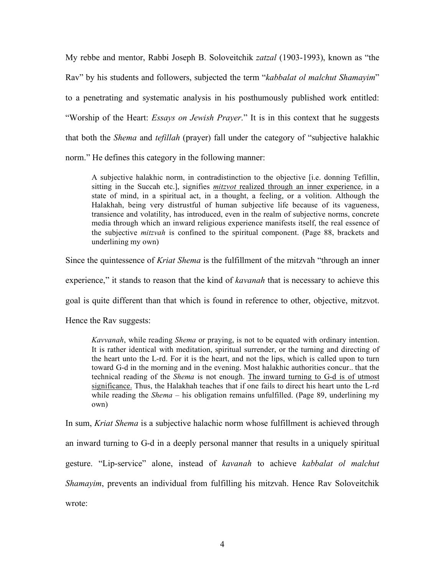My rebbe and mentor, Rabbi Joseph B. Soloveitchik *zatzal* (1903-1993), known as "the Rav" by his students and followers, subjected the term "*kabbalat ol malchut Shamayim*" to a penetrating and systematic analysis in his posthumously published work entitled: "Worship of the Heart: *Essays on Jewish Prayer*." It is in this context that he suggests that both the *Shema* and *tefillah* (prayer) fall under the category of "subjective halakhic norm." He defines this category in the following manner:

A subjective halakhic norm, in contradistinction to the objective [i.e. donning Tefillin, sitting in the Succah etc.], signifies *mitzvot* realized through an inner experience, in a state of mind, in a spiritual act, in a thought, a feeling, or a volition. Although the Halakhah, being very distrustful of human subjective life because of its vagueness, transience and volatility, has introduced, even in the realm of subjective norms, concrete media through which an inward religious experience manifests itself, the real essence of the subjective *mitzvah* is confined to the spiritual component. (Page 88, brackets and underlining my own)

Since the quintessence of *Kriat Shema* is the fulfillment of the mitzvah "through an inner

experience," it stands to reason that the kind of *kavanah* that is necessary to achieve this

goal is quite different than that which is found in reference to other, objective, mitzvot.

Hence the Rav suggests:

*Kavvanah*, while reading *Shema* or praying, is not to be equated with ordinary intention. It is rather identical with meditation, spiritual surrender, or the turning and directing of the heart unto the L-rd. For it is the heart, and not the lips, which is called upon to turn toward G-d in the morning and in the evening. Most halakhic authorities concur.. that the technical reading of the *Shema* is not enough. The inward turning to G-d is of utmost significance. Thus, the Halakhah teaches that if one fails to direct his heart unto the L-rd while reading the *Shema* – his obligation remains unfulfilled. (Page 89, underlining my own)

In sum, *Kriat Shema* is a subjective halachic norm whose fulfillment is achieved through an inward turning to G-d in a deeply personal manner that results in a uniquely spiritual gesture. "Lip-service" alone, instead of *kavanah* to achieve *kabbalat ol malchut Shamayim*, prevents an individual from fulfilling his mitzvah. Hence Rav Soloveitchik wrote: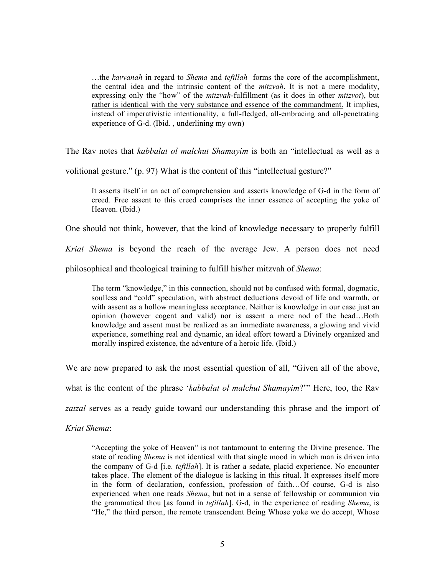…the *kavvanah* in regard to *Shema* and *tefillah* forms the core of the accomplishment, the central idea and the intrinsic content of the *mitzvah*. It is not a mere modality, expressing only the "how" of the *mitzvah*-fulfillment (as it does in other *mitzvot*), but rather is identical with the very substance and essence of the commandment. It implies, instead of imperativistic intentionality, a full-fledged, all-embracing and all-penetrating experience of G-d. (Ibid. , underlining my own)

The Rav notes that *kabbalat ol malchut Shamayim* is both an "intellectual as well as a

volitional gesture." (p. 97) What is the content of this "intellectual gesture?"

It asserts itself in an act of comprehension and asserts knowledge of G-d in the form of creed. Free assent to this creed comprises the inner essence of accepting the yoke of Heaven. (Ibid.)

One should not think, however, that the kind of knowledge necessary to properly fulfill

*Kriat Shema* is beyond the reach of the average Jew. A person does not need

philosophical and theological training to fulfill his/her mitzvah of *Shema*:

The term "knowledge," in this connection, should not be confused with formal, dogmatic, soulless and "cold" speculation, with abstract deductions devoid of life and warmth, or with assent as a hollow meaningless acceptance. Neither is knowledge in our case just an opinion (however cogent and valid) nor is assent a mere nod of the head…Both knowledge and assent must be realized as an immediate awareness, a glowing and vivid experience, something real and dynamic, an ideal effort toward a Divinely organized and morally inspired existence, the adventure of a heroic life. (Ibid.)

We are now prepared to ask the most essential question of all, "Given all of the above,

what is the content of the phrase '*kabbalat ol malchut Shamayim*?'" Here, too, the Rav

*zatzal* serves as a ready guide toward our understanding this phrase and the import of

*Kriat Shema*:

"Accepting the yoke of Heaven" is not tantamount to entering the Divine presence. The state of reading *Shema* is not identical with that single mood in which man is driven into the company of G-d [i.e. *tefillah*]. It is rather a sedate, placid experience. No encounter takes place. The element of the dialogue is lacking in this ritual. It expresses itself more in the form of declaration, confession, profession of faith…Of course, G-d is also experienced when one reads *Shema*, but not in a sense of fellowship or communion via the grammatical thou [as found in *tefillah*]. G-d, in the experience of reading *Shema*, is "He," the third person, the remote transcendent Being Whose yoke we do accept, Whose